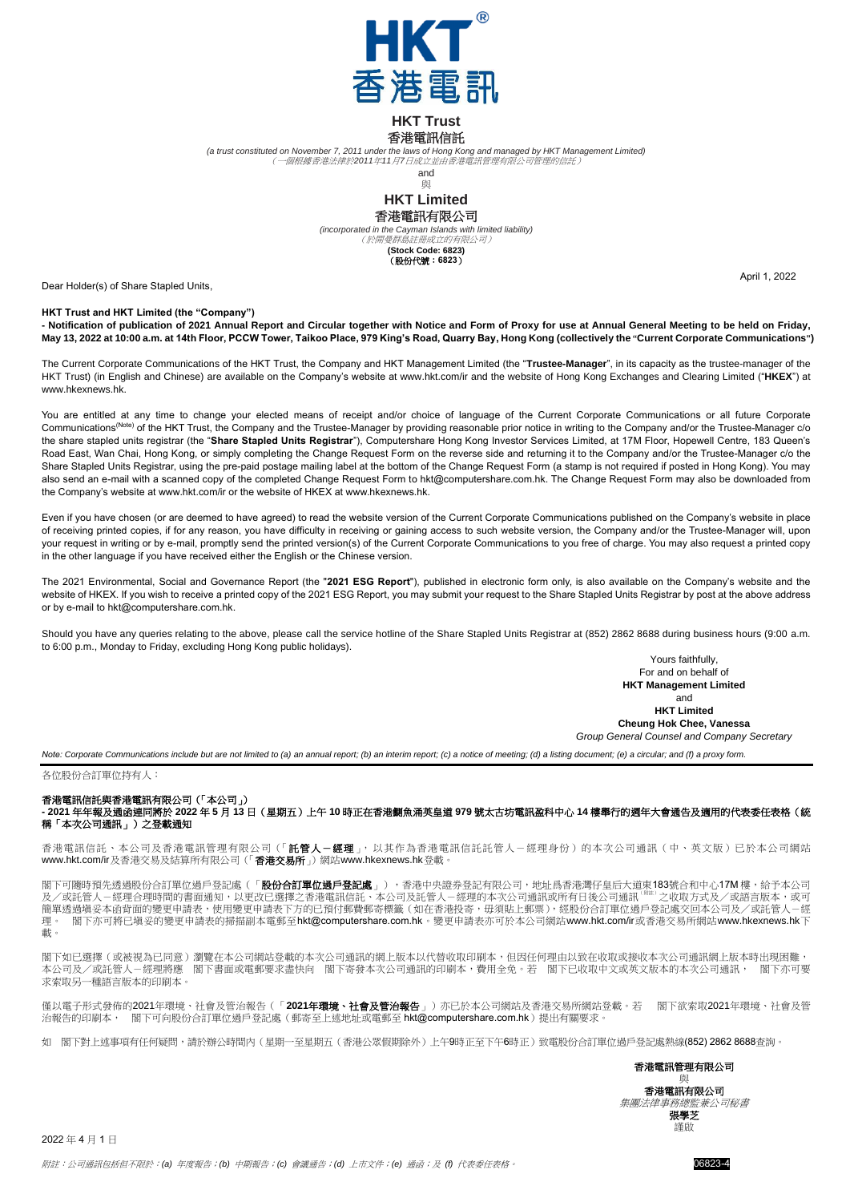

## **HKT Trust** 香港電訊信託

*(a trust constituted on November 7, 2011 under the laws of Hong Kong and managed by HKT Management Limited)* (一個根據香港法律於*2011*年*11*月*7*日成立並由香港電訊管理有限公司管理的信託)

and

## 與



*(incorporated in the Cayman Islands with limited liability)* (於開曼群島註冊成立的有限公司) **(Stock Code: 6823)**

(股份代號:**6823**)

Dear Holder(s) of Share Stapled Units,

**HKT Trust and HKT Limited (the "Company")**

**- Notification of publication of 2021 Annual Report and Circular together with Notice and Form of Proxy for use at Annual General Meeting to be held on Friday, May 13, 2022 at 10:00 a.m. at 14th Floor, PCCW Tower, Taikoo Place, 979 King's Road, Quarry Bay, Hong Kong (collectively the "Current Corporate Communications")**

The Current Corporate Communications of the HKT Trust, the Company and HKT Management Limited (the "**Trustee-Manager**", in its capacity as the trustee-manager of the HKT Trust) (in English and Chinese) are available on the Company's website at [www.hkt.com/ir](http://www.hkt.com/ir) and the website of Hong Kong Exchanges and Clearing Limited ("**HKEX**") at www.hkexnews.hk.

You are entitled at any time to change your elected means of receipt and/or choice of language of the Current Corporate Communications or all future Corporate Communications(Note) of the HKT Trust, the Company and the Trustee-Manager by providing reasonable prior notice in writing to the Company and/or the Trustee-Manager c/o the share stapled units registrar (the "**Share Stapled Units Registrar**"), Computershare Hong Kong Investor Services Limited, at 17M Floor, Hopewell Centre, 183 Queen's Road East, Wan Chai, Hong Kong, or simply completing the Change Request Form on the reverse side and returning it to the Company and/or the Trustee-Manager c/o the Share Stapled Units Registrar, using the pre-paid postage mailing label at the bottom of the Change Request Form (a stamp is not required if posted in Hong Kong). You may also send an e-mail with a scanned copy of the completed Change Request Form t[o hkt@computershare.com.hk.](mailto:hkt@computershare.com.hk) The Change Request Form may also be downloaded from the Company's website at [www.hkt.com/ir](http://www.hkt.com/ir) or the website of HKEX a[t www.hkexnews.hk.](http://www.hkexnews.hk/)

Even if you have chosen (or are deemed to have agreed) to read the website version of the Current Corporate Communications published on the Company's website in place of receiving printed copies, if for any reason, you have difficulty in receiving or gaining access to such website version, the Company and/or the Trustee-Manager will, upon your request in writing or by e-mail, promptly send the printed version(s) of the Current Corporate Communications to you free of charge. You may also request a printed copy in the other language if you have received either the English or the Chinese version.

The 2021 Environmental, Social and Governance Report (the "**2021 ESG Report**"), published in electronic form only, is also available on the Company's website and the website of HKEX. If you wish to receive a printed copy of the 2021 ESG Report, you may submit your request to the Share Stapled Units Registrar by post at the above address or by e-mail t[o hkt@computershare.com.hk.](mailto:hkt@computershare.com.hk)

Should you have any queries relating to the above, please call the service hotline of the Share Stapled Units Registrar at (852) 2862 8688 during business hours (9:00 a.m. to 6:00 p.m., Monday to Friday, excluding Hong Kong public holidays).

> Yours faithfully, For and on behalf of **HKT Management Limited** and **HKT Limited**

April 1, 2022

**Cheung Hok Chee, Vanessa**

*Group General Counsel and Company Secretary*

*Note: Corporate Communications include but are not limited to (a) an annual report; (b) an interim report; (c) a notice of meeting; (d) a listing document; (e) a circular; and (f) a proxy form.*

各位股份合訂單位持有人:

香港電訊信託與香港電訊有限公司(「本公司」) **- 2021** 年年報及通函連同將於 **2022** 年 **5** 月 **13** 日(星期五)上午 **10** 時正在香港鰂魚涌英皇道 **979** 號太古坊電訊盈科中心 **14** 樓舉行的週年大會通告及適用的代表委任表格(統 稱「本次公司通訊」)之登載通知

香港電訊信託、本公司及香港電訊管理有限公司(「**託管人-經理**」,以其作為香港電訊信託託管人-經理身份)的本次公司通訊(中、英文版)已於本公司網站 [www.hkt.com/ir](http://www.hkt.com/ir)及香港交易及結算所有限公司(「香港交易所」)網站[www.hkexnews.hk](http://www.hkexnews.hk/)登載。

閣下可隨時預先透過股份合訂單位過戶登記處(「**股份合訂單位過戶登記處**」),香港中央證券登記有限公司,地址爲香港灣仔皇后大道東183號合和中心17M 樓,給予本公司<br>及/或託管人-經理合理時間的書面通知,以更改已選擇之香港電訊信託、本公司及託管人-經理的本次公司通訊或所有日後公司通訊<sup>《##}</sup>之收取方式及/或語言版本,或可 簡單透過塡妥本函背面的變更申請表,使用變更申請表下方的已預付郵費郵寄標籤(如在香港投寄,毋須貼上郵票),經股份合訂單位過戶登記處交回本公司及/或託管人-經 理。 閣下亦可將已填妥的變更申請表的掃描副本電郵至[hkt@computershare.com.hk](mailto:hkt@computershare.com.hk)。變更申請表亦可於本公司網站[www.hkt.com/ir](http://www.hkt.com/ir)或香港交易所網站[www.hkexnews.hk](http://www.hkexnews.hk/)下 載。

閣下如已選擇(或被視為已同意)瀏覽在本公司網站登載的本次公司通訊的網上版本以代替收取印刷本,但因任何理由以致在收取或接收本次公司通訊網上版本時出現困難, 本公司及/或託管人-經理將應 閣下書面或電郵要求盡快向 閣下寄發本次公司通訊的印刷本,費用全免。若 閣下已收取中文或英文版本的本次公司通訊, 閣下亦可要 求索取另一種語言版本的印刷本。

僅以電子形式發佈的2021年環境、社會及管治報告(「**2021**年環境、社會及管治報告」)亦已於本公司網站及香港交易所網站登載。若 閣下欲索取2021年環境、社會及管 治報告的印刷本, 閣下可向股份合訂單位過戶登記處(郵寄至上述地址或電郵至 [hkt@computershare.com.hk](mailto:hkt@computershare.com.hk))提出有關要求。

如 閣下對上述事項有任何疑問,請於辦公時間內(星期一至星期五(香港公眾假期除外)上午9時正至下午6時正)致電股份合訂單位過戶登記處熱線(852)2862 8688查詢。

與 香港電訊有限公司 集團法律事務總監兼公司秘書 張學芝 謹啟

香港電訊管理有限公司

2022 年 4 月 1 日